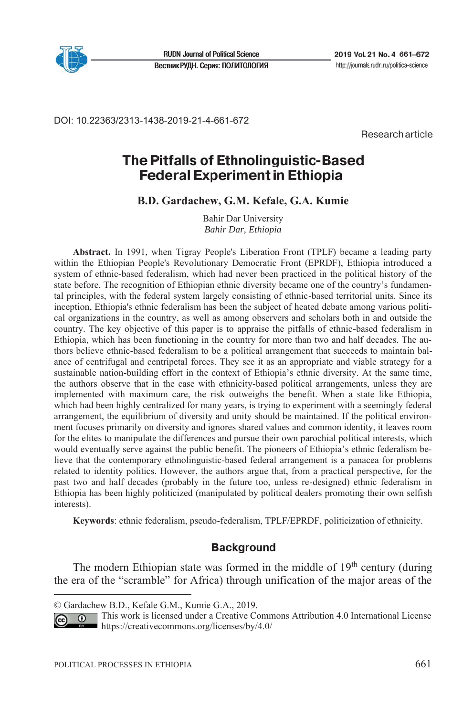

**RUDN Journal of Political Science** Вестник РУДН. Серия: ПОЛИТОЛОГИЯ

DOI: 10.22363/2313-1438-2019-21-4-661-672

Research article

# The Pitfalls of Ethnolinguistic-Based **Federal Experiment in Ethiopia**

**B.D. Gardachew, G.M. Kefale, G.А. Kumie**

Bahir Dar University *Bahir Dar, Ethiopia* 

**Abstract.** In 1991, when Tigray People's Liberation Front (TPLF) became a leading party within the Ethiopian People's Revolutionary Democratic Front (EPRDF), Ethiopia introduced a system of ethnic-based federalism, which had never been practiced in the political history of the state before. The recognition of Ethiopian ethnic diversity became one of the country's fundamental principles, with the federal system largely consisting of ethnic-based territorial units. Since its inception, Ethiopia's ethnic federalism has been the subject of heated debate among various political organizations in the country, as well as among observers and scholars both in and outside the country. The key objective of this paper is to appraise the pitfalls of ethnic-based federalism in Ethiopia, which has been functioning in the country for more than two and half decades. The authors believe ethnic-based federalism to be a political arrangement that succeeds to maintain balance of centrifugal and centripetal forces. They see it as an appropriate and viable strategy for a sustainable nation-building effort in the context of Ethiopia's ethnic diversity. At the same time, the authors observe that in the case with ethnicity-based political arrangements, unless they are implemented with maximum care, the risk outweighs the benefit. When a state like Ethiopia, which had been highly centralized for many years, is trying to experiment with a seemingly federal arrangement, the equilibrium of diversity and unity should be maintained. If the political environment focuses primarily on diversity and ignores shared values and common identity, it leaves room for the elites to manipulate the differences and pursue their own parochial political interests, which would eventually serve against the public benefit. The pioneers of Ethiopia's ethnic federalism believe that the contemporary ethnolinguistic-based federal arrangement is a panacea for problems related to identity politics. However, the authors argue that, from a practical perspective, for the past two and half decades (probably in the future too, unless re-designed) ethnic federalism in Ethiopia has been highly politicized (manipulated by political dealers promoting their own selfish interests).

**Keywords**: ethnic federalism, pseudo-federalism, TPLF/EPRDF, politicization of ethnicity.

### **Background**

The modern Ethiopian state was formed in the middle of  $19<sup>th</sup>$  century (during the era of the "scramble" for Africa) through unification of the major areas of the

<sup>©</sup> Gardachew B.D., Kefale G.M., Kumie G.А., 2019.

This work is licensed under a Creative Commons Attribution 4.0 International License  $\odot$  $(c<sub>c</sub>)$ https://creativecommons.org/licenses/by/4.0/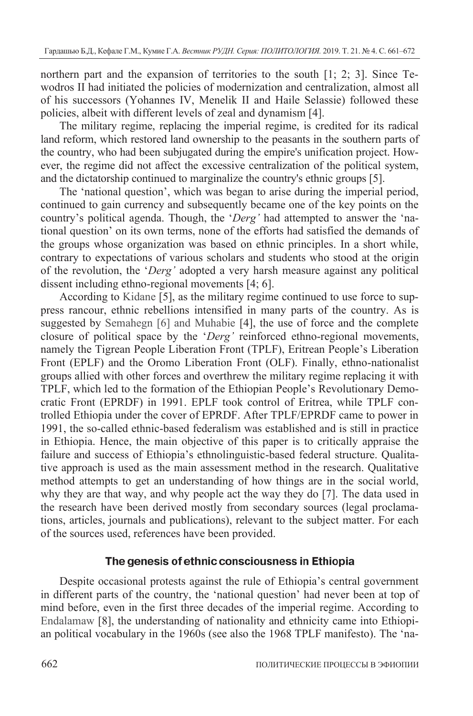northern part and the expansion of territories to the south [1; 2; 3]. Since Tewodros II had initiated the policies of modernization and centralization, almost all of his successors (Yohannes IV, Menelik II and Haile Selassie) followed these policies, albeit with different levels of zeal and dynamism [4].

The military regime, replacing the imperial regime, is credited for its radical land reform, which restored land ownership to the peasants in the southern parts of the country, who had been subjugated during the empire's unification project. However, the regime did not affect the excessive centralization of the political system, and the dictatorship continued to marginalize the country's ethnic groups [5].

The 'national question', which was began to arise during the imperial period, continued to gain currency and subsequently became one of the key points on the country's political agenda. Though, the '*Derg'* had attempted to answer the 'national question' on its own terms, none of the efforts had satisfied the demands of the groups whose organization was based on ethnic principles. In a short while, contrary to expectations of various scholars and students who stood at the origin of the revolution, the '*Derg'* adopted a very harsh measure against any political dissent including ethno-regional movements [4; 6].

According to Kidane [5], as the military regime continued to use force to suppress rancour, ethnic rebellions intensified in many parts of the country. As is suggested by Semahegn [6] and Muhabie [4], the use of force and the complete closure of political space by the '*Derg'* reinforced ethno-regional movements, namely the Tigrean People Liberation Front (TPLF), Eritrean People's Liberation Front (EPLF) and the Oromo Liberation Front (OLF). Finally, ethno-nationalist groups allied with other forces and overthrew the military regime replacing it with TPLF, which led to the formation of the Ethiopian People's Revolutionary Democratic Front (EPRDF) in 1991. EPLF took control of Eritrea, while TPLF controlled Ethiopia under the cover of EPRDF. After TPLF/EPRDF came to power in 1991, the so-called ethnic-based federalism was established and is still in practice in Ethiopia. Hence, the main objective of this paper is to critically appraise the failure and success of Ethiopia's ethnolinguistic-based federal structure. Qualitative approach is used as the main assessment method in the research. Qualitative method attempts to get an understanding of how things are in the social world, why they are that way, and why people act the way they do [7]. The data used in the research have been derived mostly from secondary sources (legal proclamations, articles, journals and publications), relevant to the subject matter. For each of the sources used, references have been provided.

### The genesis of ethnic consciousness in Ethiopia

Despite occasional protests against the rule of Ethiopia's central government in different parts of the country, the 'national question' had never been at top of mind before, even in the first three decades of the imperial regime. According to Endalamaw [8], the understanding of nationality and ethnicity came into Ethiopian political vocabulary in the 1960s (see also the 1968 TPLF manifesto). The 'na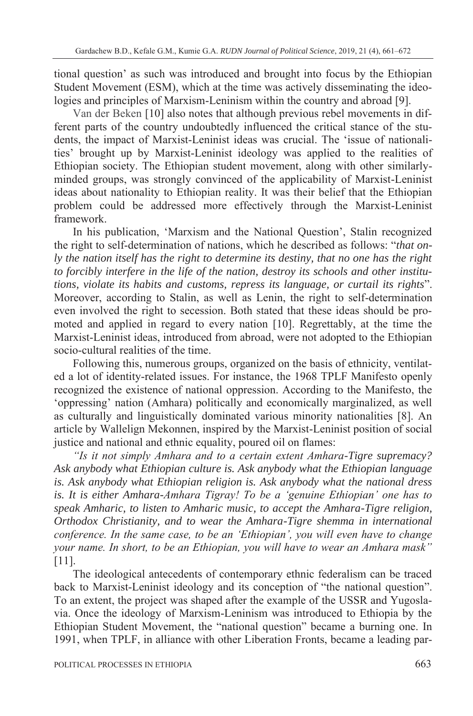tional question' as such was introduced and brought into focus by the Ethiopian Student Movement (ESM), which at the time was actively disseminating the ideologies and principles of Marxism-Leninism within the country and abroad [9].

Van der Beken [10] also notes that although previous rebel movements in different parts of the country undoubtedly influenced the critical stance of the students, the impact of Marxist-Leninist ideas was crucial. The 'issue of nationalities' brought up by Marxist-Leninist ideology was applied to the realities of Ethiopian society. The Ethiopian student movement, along with other similarlyminded groups, was strongly convinced of the applicability of Marxist-Leninist ideas about nationality to Ethiopian reality. It was their belief that the Ethiopian problem could be addressed more effectively through the Marxist-Leninist framework.

In his publication, 'Marxism and the National Question', Stalin recognized the right to self-determination of nations, which he described as follows: "*that only the nation itself has the right to determine its destiny, that no one has the right to forcibly interfere in the life of the nation, destroy its schools and other institutions, violate its habits and customs, repress its language, or curtail its rights*". Moreover, according to Stalin, as well as Lenin, the right to self-determination even involved the right to secession. Both stated that these ideas should be promoted and applied in regard to every nation [10]. Regrettably, at the time the Marxist-Leninist ideas, introduced from abroad, were not adopted to the Ethiopian socio-cultural realities of the time.

Following this, numerous groups, organized on the basis of ethnicity, ventilated a lot of identity-related issues. For instance, the 1968 TPLF Manifesto openly recognized the existence of national oppression. According to the Manifesto, the 'oppressing' nation (Amhara) politically and economically marginalized, as well as culturally and linguistically dominated various minority nationalities [8]. An article by Wallelign Mekonnen, inspired by the Marxist-Leninist position of social justice and national and ethnic equality, poured oil on flames:

*"Is it not simply Amhara and to a certain extent Amhara-Tigre supremacy? Ask anybody what Ethiopian culture is. Ask anybody what the Ethiopian language is. Ask anybody what Ethiopian religion is. Ask anybody what the national dress is. It is either Amhara-Amhara Tigray! To be a 'genuine Ethiopian' one has to speak Amharic, to listen to Amharic music, to accept the Amhara-Tigre religion, Orthodox Christianity, and to wear the Amhara-Tigre shemma in international conference. In the same case, to be an 'Ethiopian', you will even have to change your name. In short, to be an Ethiopian, you will have to wear an Amhara mask"*  [11].

The ideological antecedents of contemporary ethnic federalism can be traced back to Marxist-Leninist ideology and its conception of "the national question". To an extent, the project was shaped after the example of the USSR and Yugoslavia. Once the ideology of Marxism-Leninism was introduced to Ethiopia by the Ethiopian Student Movement, the "national question" became a burning one. In 1991, when TPLF, in alliance with other Liberation Fronts, became a leading par-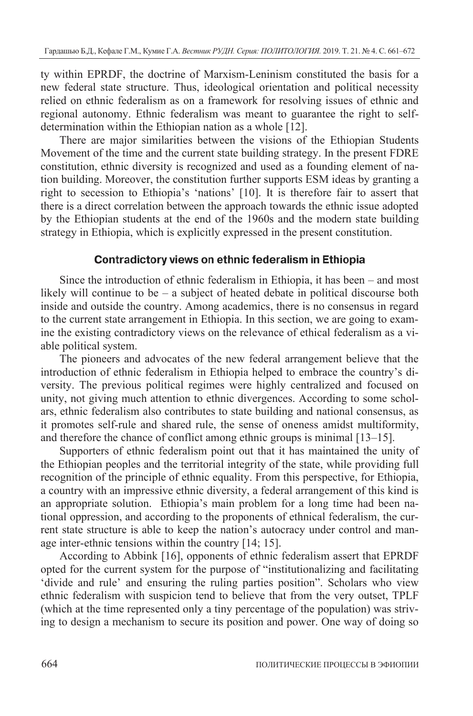ty within EPRDF, the doctrine of Marxism-Leninism constituted the basis for a new federal state structure. Thus, ideological orientation and political necessity relied on ethnic federalism as on a framework for resolving issues of ethnic and regional autonomy. Ethnic federalism was meant to guarantee the right to selfdetermination within the Ethiopian nation as a whole [12].

There are major similarities between the visions of the Ethiopian Students Movement of the time and the current state building strategy. In the present FDRE constitution, ethnic diversity is recognized and used as a founding element of nation building. Moreover, the constitution further supports ESM ideas by granting a right to secession to Ethiopia's 'nations' [10]. It is therefore fair to assert that there is a direct correlation between the approach towards the ethnic issue adopted by the Ethiopian students at the end of the 1960s and the modern state building strategy in Ethiopia, which is explicitly expressed in the present constitution.

## Contradictory views on ethnic federalism in Ethiopia

Since the introduction of ethnic federalism in Ethiopia, it has been – and most likely will continue to be – a subject of heated debate in political discourse both inside and outside the country. Among academics, there is no consensus in regard to the current state arrangement in Ethiopia. In this section, we are going to examine the existing contradictory views on the relevance of ethical federalism as a viable political system.

The pioneers and advocates of the new federal arrangement believe that the introduction of ethnic federalism in Ethiopia helped to embrace the country's diversity. The previous political regimes were highly centralized and focused on unity, not giving much attention to ethnic divergences. According to some scholars, ethnic federalism also contributes to state building and national consensus, as it promotes self-rule and shared rule, the sense of oneness amidst multiformity, and therefore the chance of conflict among ethnic groups is minimal [13–15].

Supporters of ethnic federalism point out that it has maintained the unity of the Ethiopian peoples and the territorial integrity of the state, while providing full recognition of the principle of ethnic equality. From this perspective, for Ethiopia, a country with an impressive ethnic diversity, a federal arrangement of this kind is an appropriate solution. Ethiopia's main problem for a long time had been national oppression, and according to the proponents of ethnical federalism, the current state structure is able to keep the nation's autocracy under control and manage inter-ethnic tensions within the country [14; 15].

According to Abbink [16], opponents of ethnic federalism assert that EPRDF opted for the current system for the purpose of "institutionalizing and facilitating 'divide and rule' and ensuring the ruling parties position". Scholars who view ethnic federalism with suspicion tend to believe that from the very outset, TPLF (which at the time represented only a tiny percentage of the population) was striving to design a mechanism to secure its position and power. One way of doing so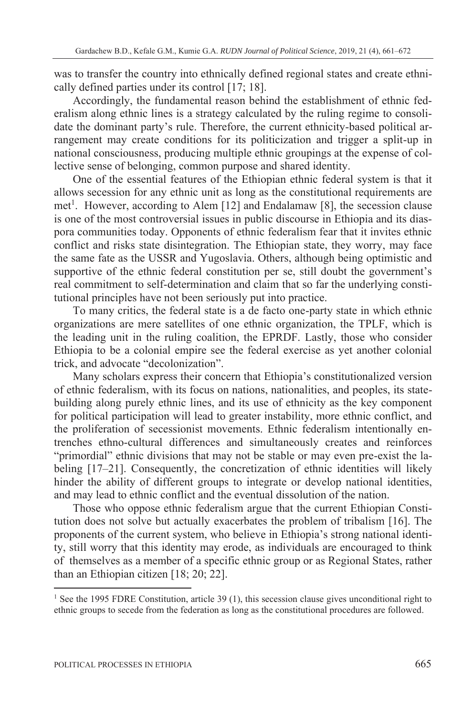was to transfer the country into ethnically defined regional states and create ethnically defined parties under its control [17; 18].

Accordingly, the fundamental reason behind the establishment of ethnic federalism along ethnic lines is a strategy calculated by the ruling regime to consolidate the dominant party's rule. Therefore, the current ethnicity-based political arrangement may create conditions for its politicization and trigger a split-up in national consciousness, producing multiple ethnic groupings at the expense of collective sense of belonging, common purpose and shared identity.

One of the essential features of the Ethiopian ethnic federal system is that it allows secession for any ethnic unit as long as the constitutional requirements are met<sup>1</sup>. However, according to Alem [12] and Endalamaw [8], the secession clause is one of the most controversial issues in public discourse in Ethiopia and its diaspora communities today. Opponents of ethnic federalism fear that it invites ethnic conflict and risks state disintegration. The Ethiopian state, they worry, may face the same fate as the USSR and Yugoslavia. Others, although being optimistic and supportive of the ethnic federal constitution per se, still doubt the government's real commitment to self-determination and claim that so far the underlying constitutional principles have not been seriously put into practice.

To many critics, the federal state is a de facto one-party state in which ethnic organizations are mere satellites of one ethnic organization, the TPLF, which is the leading unit in the ruling coalition, the EPRDF. Lastly, those who consider Ethiopia to be a colonial empire see the federal exercise as yet another colonial trick, and advocate "decolonization".

Many scholars express their concern that Ethiopia's constitutionalized version of ethnic federalism, with its focus on nations, nationalities, and peoples, its statebuilding along purely ethnic lines, and its use of ethnicity as the key component for political participation will lead to greater instability, more ethnic conflict, and the proliferation of secessionist movements. Ethnic federalism intentionally entrenches ethno-cultural differences and simultaneously creates and reinforces "primordial" ethnic divisions that may not be stable or may even pre-exist the labeling [17–21]. Consequently, the concretization of ethnic identities will likely hinder the ability of different groups to integrate or develop national identities, and may lead to ethnic conflict and the eventual dissolution of the nation.

Those who oppose ethnic federalism argue that the current Ethiopian Constitution does not solve but actually exacerbates the problem of tribalism [16]. The proponents of the current system, who believe in Ethiopia's strong national identity, still worry that this identity may erode, as individuals are encouraged to think of themselves as a member of a specific ethnic group or as Regional States, rather than an Ethiopian citizen [18; 20; 22].

<sup>&</sup>lt;sup>1</sup> See the 1995 FDRE Constitution, article 39 (1), this secession clause gives unconditional right to ethnic groups to secede from the federation as long as the constitutional procedures are followed.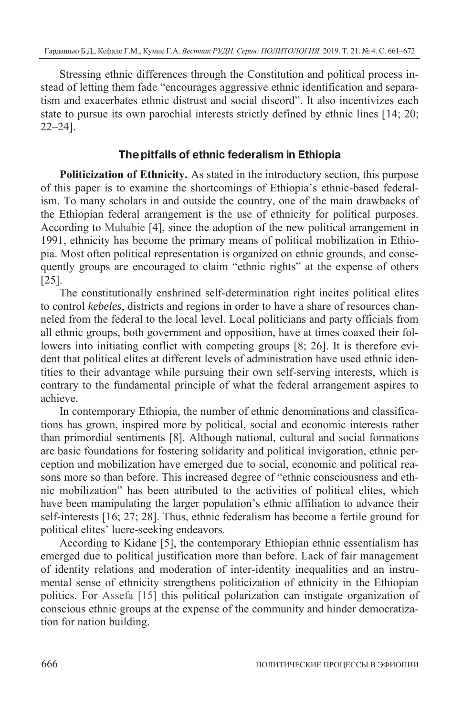Stressing ethnic differences through the Constitution and political process instead of letting them fade "encourages aggressive ethnic identification and separatism and exacerbates ethnic distrust and social discord". It also incentivizes each state to pursue its own parochial interests strictly defined by ethnic lines [14; 20; 22–24].

## The pitfalls of ethnic federalism in Ethiopia

**Politicization of Ethnicity.** As stated in the introductory section, this purpose of this paper is to examine the shortcomings of Ethiopia's ethnic-based federalism. To many scholars in and outside the country, one of the main drawbacks of the Ethiopian federal arrangement is the use of ethnicity for political purposes. According to Muhabie [4], since the adoption of the new political arrangement in 1991, ethnicity has become the primary means of political mobilization in Ethiopia. Most often political representation is organized on ethnic grounds, and consequently groups are encouraged to claim "ethnic rights" at the expense of others [25].

The constitutionally enshrined self-determination right incites political elites to control *kebeles*, districts and regions in order to have a share of resources channeled from the federal to the local level. Local politicians and party officials from all ethnic groups, both government and opposition, have at times coaxed their followers into initiating conflict with competing groups [8; 26]. It is therefore evident that political elites at different levels of administration have used ethnic identities to their advantage while pursuing their own self-serving interests, which is contrary to the fundamental principle of what the federal arrangement aspires to achieve.

In contemporary Ethiopia, the number of ethnic denominations and classifications has grown, inspired more by political, social and economic interests rather than primordial sentiments [8]. Although national, cultural and social formations are basic foundations for fostering solidarity and political invigoration, ethnic perception and mobilization have emerged due to social, economic and political reasons more so than before. This increased degree of "ethnic consciousness and ethnic mobilization" has been attributed to the activities of political elites, which have been manipulating the larger population's ethnic affiliation to advance their self-interests [16; 27; 28]. Thus, ethnic federalism has become a fertile ground for political elites' lucre-seeking endeavors.

According to Kidane [5], the contemporary Ethiopian ethnic essentialism has emerged due to political justification more than before. Lack of fair management of identity relations and moderation of inter-identity inequalities and an instrumental sense of ethnicity strengthens politicization of ethnicity in the Ethiopian politics. For Assefa [15] this political polarization can instigate organization of conscious ethnic groups at the expense of the community and hinder democratization for nation building.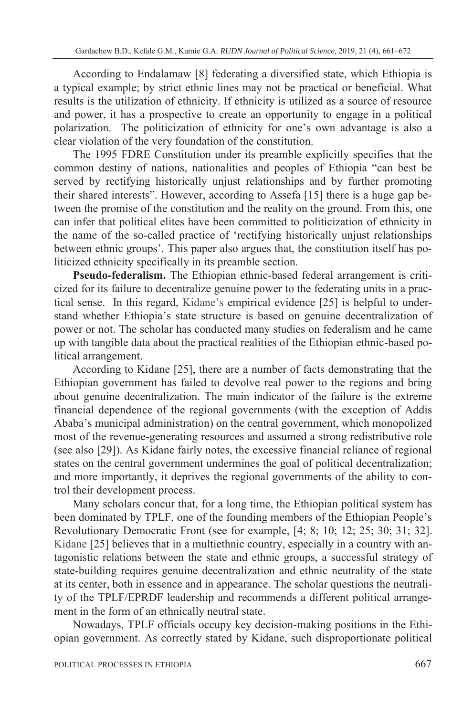According to Endalamaw [8] federating a diversified state, which Ethiopia is a typical example; by strict ethnic lines may not be practical or beneficial. What results is the utilization of ethnicity. If ethnicity is utilized as a source of resource and power, it has a prospective to create an opportunity to engage in a political polarization. The politicization of ethnicity for one's own advantage is also a clear violation of the very foundation of the constitution.

The 1995 FDRE Constitution under its preamble explicitly specifies that the common destiny of nations, nationalities and peoples of Ethiopia "can best be served by rectifying historically unjust relationships and by further promoting their shared interests". However, according to Assefa [15] there is a huge gap between the promise of the constitution and the reality on the ground. From this, one can infer that political elites have been committed to politicization of ethnicity in the name of the so-called practice of 'rectifying historically unjust relationships between ethnic groups'. This paper also argues that, the constitution itself has politicized ethnicity specifically in its preamble section.

**Pseudo-federalism.** The Ethiopian ethnic-based federal arrangement is criticized for its failure to decentralize genuine power to the federating units in a practical sense. In this regard, Kidane's empirical evidence [25] is helpful to understand whether Ethiopia's state structure is based on genuine decentralization of power or not. The scholar has conducted many studies on federalism and he came up with tangible data about the practical realities of the Ethiopian ethnic-based political arrangement.

According to Kidane [25], there are a number of facts demonstrating that the Ethiopian government has failed to devolve real power to the regions and bring about genuine decentralization. The main indicator of the failure is the extreme financial dependence of the regional governments (with the exception of Addis Ababa's municipal administration) on the central government, which monopolized most of the revenue-generating resources and assumed a strong redistributive role (see also [29]). As Kidane fairly notes, the excessive financial reliance of regional states on the central government undermines the goal of political decentralization; and more importantly, it deprives the regional governments of the ability to control their development process.

Many scholars concur that, for a long time, the Ethiopian political system has been dominated by TPLF, one of the founding members of the Ethiopian People's Revolutionary Democratic Front (see for example, [4; 8; 10; 12; 25; 30; 31; 32]. Kidane [25] believes that in a multiethnic country, especially in a country with antagonistic relations between the state and ethnic groups, a successful strategy of state-building requires genuine decentralization and ethnic neutrality of the state at its center, both in essence and in appearance. The scholar questions the neutrality of the TPLF/EPRDF leadership and recommends a different political arrangement in the form of an ethnically neutral state.

Nowadays, TPLF officials occupy key decision-making positions in the Ethiopian government. As correctly stated by Kidane, such disproportionate political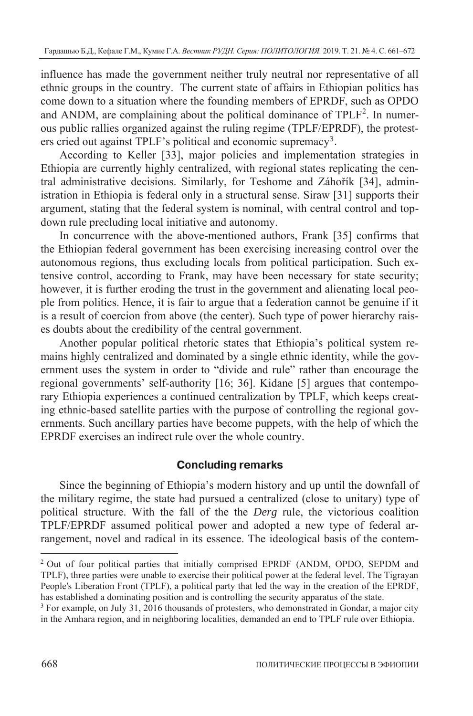influence has made the government neither truly neutral nor representative of all ethnic groups in the country. The current state of affairs in Ethiopian politics has come down to a situation where the founding members of EPRDF, such as OPDO and ANDM, are complaining about the political dominance of TPLF<sup>2</sup>. In numerous public rallies organized against the ruling regime (TPLF/EPRDF), the protesters cried out against TPLF's political and economic supremacy<sup>3</sup>.

According to Keller [33], major policies and implementation strategies in Ethiopia are currently highly centralized, with regional states replicating the central administrative decisions. Similarly, for Teshome and Záhořík [34], administration in Ethiopia is federal only in a structural sense. Siraw [31] supports their argument, stating that the federal system is nominal, with central control and topdown rule precluding local initiative and autonomy.

In concurrence with the above-mentioned authors, Frank [35] confirms that the Ethiopian federal government has been exercising increasing control over the autonomous regions, thus excluding locals from political participation. Such extensive control, according to Frank, may have been necessary for state security; however, it is further eroding the trust in the government and alienating local people from politics. Hence, it is fair to argue that a federation cannot be genuine if it is a result of coercion from above (the center). Such type of power hierarchy raises doubts about the credibility of the central government.

Another popular political rhetoric states that Ethiopia's political system remains highly centralized and dominated by a single ethnic identity, while the government uses the system in order to "divide and rule" rather than encourage the regional governments' self-authority [16; 36]. Kidane [5] argues that contemporary Ethiopia experiences a continued centralization by TPLF, which keeps creating ethnic-based satellite parties with the purpose of controlling the regional governments. Such ancillary parties have become puppets, with the help of which the EPRDF exercises an indirect rule over the whole country.

## **Concluding remarks**

Since the beginning of Ethiopia's modern history and up until the downfall of the military regime, the state had pursued a centralized (close to unitary) type of political structure. With the fall of the the *Derg* rule, the victorious coalition TPLF/EPRDF assumed political power and adopted a new type of federal arrangement, novel and radical in its essence. The ideological basis of the contem-

<sup>2</sup> Out of four political parties that initially comprised EPRDF (ANDM, OPDO, SEPDM and TPLF), three parties were unable to exercise their political power at the federal level. The Tigrayan People's Liberation Front (TPLF), a political party that led the way in the creation of the EPRDF, has established a dominating position and is controlling the security apparatus of the state.

 $3$  For example, on July 31, 2016 thousands of protesters, who demonstrated in Gondar, a major city in the Amhara region, and in neighboring localities, demanded an end to TPLF rule over Ethiopia.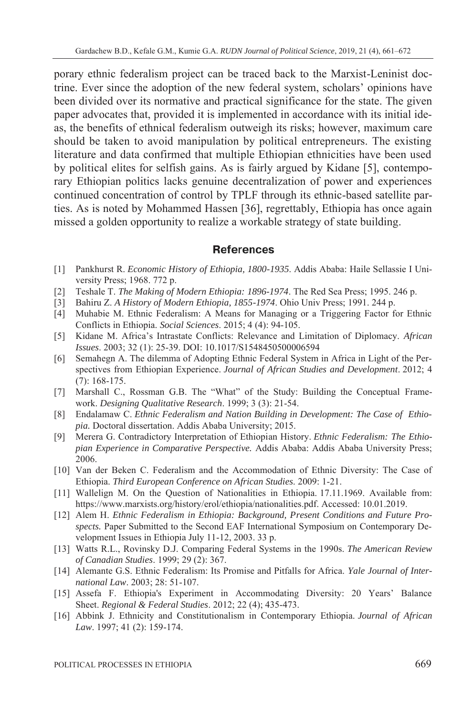porary ethnic federalism project can be traced back to the Marxist-Leninist doctrine. Ever since the adoption of the new federal system, scholars' opinions have been divided over its normative and practical significance for the state. The given paper advocates that, provided it is implemented in accordance with its initial ideas, the benefits of ethnical federalism outweigh its risks; however, maximum care should be taken to avoid manipulation by political entrepreneurs. The existing literature and data confirmed that multiple Ethiopian ethnicities have been used by political elites for selfish gains. As is fairly argued by Kidane [5], contemporary Ethiopian politics lacks genuine decentralization of power and experiences continued concentration of control by TPLF through its ethnic-based satellite parties. As is noted by Mohammed Hassen [36], regrettably, Ethiopia has once again missed a golden opportunity to realize a workable strategy of state building.

## **References**

- [1] Pankhurst R. *Economic History of Ethiopia, 1800-1935*. Addis Ababa: Haile Sellassie I University Press; 1968. 772 p.
- [2] Teshale T. *The Making of Modern Ethiopia: 1896-1974*. The Red Sea Press; 1995. 246 p.
- [3] Bahiru Z. *A History of Modern Ethiopia, 1855-1974*. Ohio Univ Press; 1991. 244 p.
- [4] Muhabie M. Ethnic Federalism: A Means for Managing or a Triggering Factor for Ethnic Conflicts in Ethiopia. *Social Sciences*. 2015; 4 (4): 94-105.
- [5] Kidane M. Africa's Intrastate Conflicts: Relevance and Limitation of Diplomacy. *African Issues*. 2003; 32 (1): 25-39. DOI: 10.1017/S1548450500006594
- [6] Semahegn A. The dilemma of Adopting Ethnic Federal System in Africa in Light of the Perspectives from Ethiopian Experience. *Journal of African Studies and Development*. 2012; 4 (7): 168-175.
- [7] Marshall C., Rossman G.B. The "What" of the Study: Building the Conceptual Framework. *Designing Qualitative Research*. 1999; 3 (3): 21-54.
- [8] Endalamaw C. *Ethnic Federalism and Nation Building in Development: The Case of Ethiopia.* Doctoral dissertation. Addis Ababa University; 2015.
- [9] Merera G. Contradictory Interpretation of Ethiopian History. *Ethnic Federalism: The Ethiopian Experience in Comparative Perspective.* Addis Ababa: Addis Ababa University Press; 2006.
- [10] Van der Beken C. Federalism and the Accommodation of Ethnic Diversity: The Case of Ethiopia. *Third European Conference on African Studies*. 2009: 1-21.
- [11] Wallelign M. On the Question of Nationalities in Ethiopia. 17.11.1969. Available from: https://www.marxists.org/history/erol/ethiopia/nationalities.pdf. Accessed: 10.01.2019.
- [12] Alem H. *Ethnic Federalism in Ethiopia: Background, Present Conditions and Future Prospects.* Paper Submitted to the Second EAF International Symposium on Contemporary Development Issues in Ethiopia July 11-12, 2003. 33 p.
- [13] Watts R.L., Rovinsky D.J. Comparing Federal Systems in the 1990s. *The American Review of Canadian Studies*. 1999; 29 (2): 367.
- [14] Alemante G.S. Ethnic Federalism: Its Promise and Pitfalls for Africa. *Yale Journal of International Law*. 2003; 28: 51-107.
- [15] Assefa F. Ethiopia's Experiment in Accommodating Diversity: 20 Years' Balance Sheet. *Regional & Federal Studies*. 2012; 22 (4); 435-473.
- [16] Abbink J. Ethnicity and Constitutionalism in Contemporary Ethiopia. *Journal of African Law*. 1997; 41 (2): 159-174.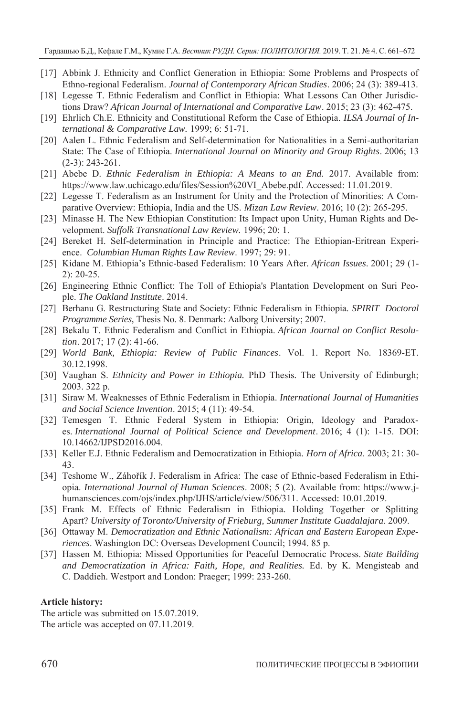- [17] Abbink J. Ethnicity and Conflict Generation in Ethiopia: Some Problems and Prospects of Ethno-regional Federalism. *Journal of Contemporary African Studies*. 2006; 24 (3): 389-413.
- [18] Legesse T. Ethnic Federalism and Conflict in Ethiopia: What Lessons Can Other Jurisdictions Draw? *African Journal of International and Comparative Law*. 2015; 23 (3): 462-475.
- [19] Ehrlich Ch.E. Ethnicity and Constitutional Reform the Case of Ethiopia. *ILSA Journal of International & Comparative Law.* 1999; 6: 51-71.
- [20] Aalen L. Ethnic Federalism and Self-determination for Nationalities in a Semi-authoritarian State: The Case of Ethiopia. *International Journal on Minority and Group Rights*. 2006; 13 (2-3): 243-261.
- [21] Abebe D. *Ethnic Federalism in Ethiopia: A Means to an End.* 2017. Available from: https://www.law.uchicago.edu/files/Session%20VI\_Abebe.pdf. Accessed: 11.01.2019.
- [22] Legesse T. Federalism as an Instrument for Unity and the Protection of Minorities: A Comparative Overview: Ethiopia, India and the US. *Mizan Law Review*. 2016; 10 (2): 265-295.
- [23] Minasse H. The New Ethiopian Constitution: Its Impact upon Unity, Human Rights and Development. *Suffolk Transnational Law Review.* 1996; 20: 1.
- [24] Bereket H. Self-determination in Principle and Practice: The Ethiopian-Eritrean Experience. *Columbian Human Rights Law Review*. 1997; 29: 91.
- [25] Kidane M. Ethiopia's Ethnic-based Federalism: 10 Years After. *African Issues*. 2001; 29 (1- 2): 20-25.
- [26] Engineering Ethnic Conflict: The Toll of Ethiopia's Plantation Development on Suri People. *The Oakland Institute*. 2014.
- [27] Berhanu G. Restructuring State and Society: Ethnic Federalism in Ethiopia. *SPIRIT Doctoral Programme Series,* Thesis No. 8. Denmark: Aalborg University; 2007.
- [28] Bekalu T. Ethnic Federalism and Conflict in Ethiopia. *African Journal on Conflict Resolution*. 2017; 17 (2): 41-66.
- [29] *World Bank, Ethiopia: Review of Public Finances*. Vol. 1. Report No. 18369-ET. 30.12.1998.
- [30] Vaughan S. *Ethnicity and Power in Ethiopia.* PhD Thesis*.* The University of Edinburgh; 2003. 322 p.
- [31] Siraw M. Weaknesses of Ethnic Federalism in Ethiopia. *International Journal of Humanities and Social Science Invention*. 2015; 4 (11): 49-54.
- [32] Temesgen T. Ethnic Federal System in Ethiopia: Origin, Ideology and Paradoxes. *International Journal of Political Science and Development*. 2016; 4 (1): 1-15. DOI: 10.14662/IJPSD2016.004.
- [33] Keller E.J. Ethnic Federalism and Democratization in Ethiopia. *Horn of Africa*. 2003; 21: 30- 43.
- [34] Teshome W., Záhořík J. Federalism in Africa: The case of Ethnic-based Federalism in Ethiopia. *International Journal of Human Sciences*. 2008; 5 (2). Available from: https://www.jhumansciences.com/ojs/index.php/IJHS/article/view/506/311. Accessed: 10.01.2019.
- [35] Frank M. Effects of Ethnic Federalism in Ethiopia. Holding Together or Splitting Apart? *University of Toronto/University of Frieburg, Summer Institute Guadalajara*. 2009.
- [36] Ottaway M. *Democratization and Ethnic Nationalism: African and Eastern European Experiences*. Washington DC: Overseas Development Council; 1994. 85 p.
- [37] Hassen M. Ethiopia: Missed Opportunities for Peaceful Democratic Process. *State Building and Democratization in Africa: Faith, Hope, and Realities.* Ed. by K. Mengisteab and C. Daddieh. Westport and London: Praeger; 1999: 233-260.

### **Article history:**

The article was submitted on 15.07.2019. The article was accepted on 07.11.2019.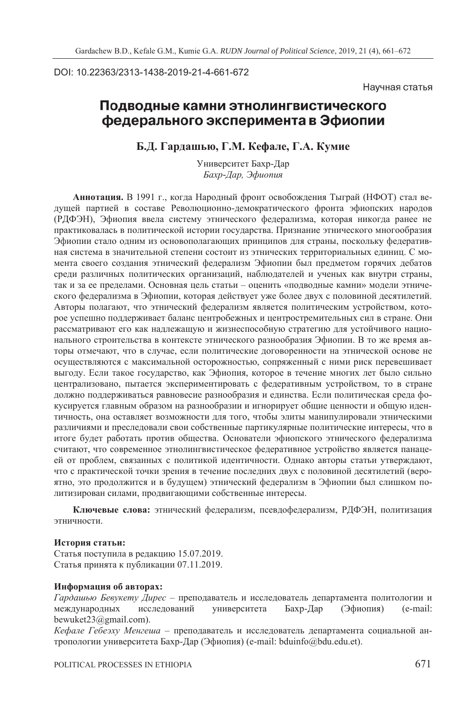DOI: 10.22363/2313-1438-2019-21-4-661-672

Научная статья

## Подводные камни этнолингвистического федерального эксперимента в Эфиопии

**Б.Д. Гардашью, Г.М. Кефале, Г.А. Кумие**

Университет Бахр-Дар *Бахр-Дар, Эфиопия*

**Аннотация.** В 1991 г., когда Народный фронт освобождения Тыграй (НФОТ) стал ведущей партией в составе Революционно-демократического фронта эфиопских народов (РДФЭН), Эфиопия ввела систему этнического федерализма, которая никогда ранее не практиковалась в политической истории государства. Признание этнического многообразия Эфиопии стало одним из основополагающих принципов для страны, поскольку федеративная система в значительной степени состоит из этнических территориальных единиц. С момента своего создания этнический федерализм Эфиопии был предметом горячих дебатов среди различных политических организаций, наблюдателей и ученых как внутри страны, так и за ее пределами. Основная цель статьи – оценить «подводные камни» модели этнического федерализма в Эфиопии, которая действует уже более двух с половиной десятилетий. Авторы полагают, что этнический федерализм является политическим устройством, которое успешно поддерживает баланс центробежных и центростремительных сил в стране. Они рассматривают его как надлежащую и жизнеспособную стратегию для устойчивого национального строительства в контексте этнического разнообразия Эфиопии. В то же время авторы отмечают, что в случае, если политические договоренности на этнической основе не осуществляются с максимальной осторожностью, сопряженный с ними риск перевешивает выгоду. Если такое государство, как Эфиопия, которое в течение многих лет было сильно централизовано, пытается экспериментировать с федеративным устройством, то в стране должно поддерживаться равновесие разнообразия и единства. Если политическая среда фокусируется главным образом на разнообразии и игнорирует общие ценности и общую идентичность, она оставляет возможности для того, чтобы элиты манипулировали этническими различиями и преследовали свои собственные партикулярные политические интересы, что в итоге будет работать против общества. Основатели эфиопского этнического федерализма считают, что современное этнолингвистическое федеративное устройство является панацеей от проблем, связанных с политикой идентичности. Однако авторы статьи утверждают, что с практической точки зрения в течение последних двух с половиной десятилетий (вероятно, это продолжится и в будущем) этнический федерализм в Эфиопии был слишком политизирован силами, продвигающими собственные интересы.

**Ключевые слова:** этнический федерализм, псевдофедерализм, РДФЭН, политизация этничности.

#### **История статьи:**

Статья поступила в редакцию 15.07.2019. Статья принята к публикации 07.11.2019.

### **Информация об авторах:**

*Гардашью Бевукету Дирес* – преподаватель и исследователь департамента политологии и международных исследований университета Бахр-Дар (Эфиопия) (e-mail: bewuket23@gmail.com).

*Кефале Гебеэху Менгеша* – преподаватель и исследователь департамента социальной антропологии университета Бахр-Дар (Эфиопия) (e-mail: bduinfo@bdu.edu.et).